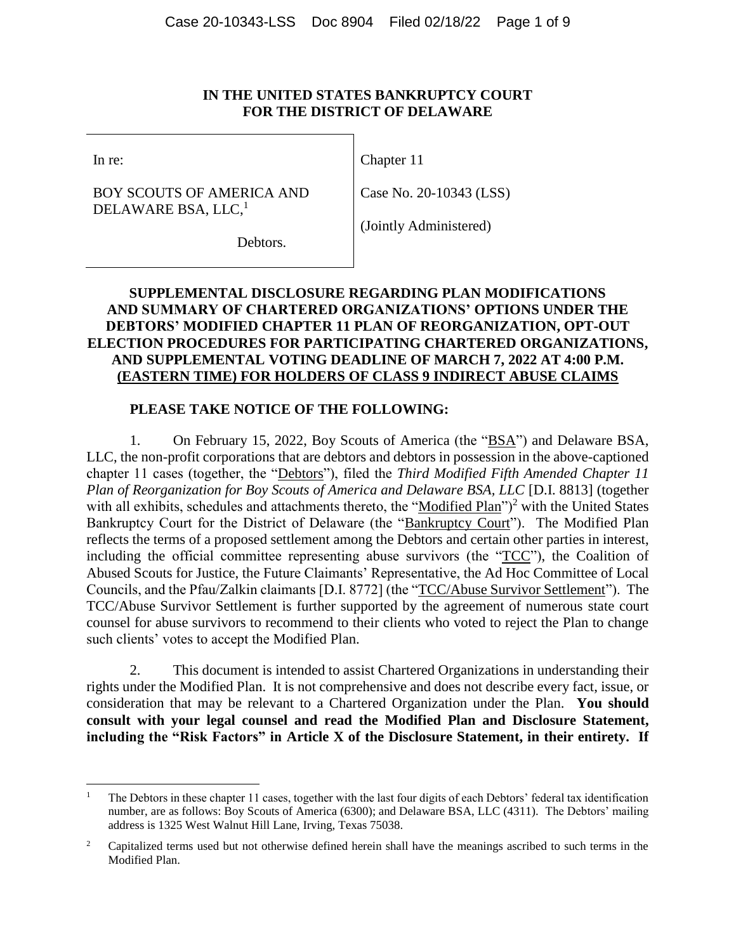#### **IN THE UNITED STATES BANKRUPTCY COURT FOR THE DISTRICT OF DELAWARE**

In re:

 $\overline{a}$ 

Chapter 11

BOY SCOUTS OF AMERICA AND DELAWARE BSA, LLC,<sup>1</sup>

Case No. 20-10343 (LSS)

(Jointly Administered)

Debtors.

# **SUPPLEMENTAL DISCLOSURE REGARDING PLAN MODIFICATIONS AND SUMMARY OF CHARTERED ORGANIZATIONS' OPTIONS UNDER THE DEBTORS' MODIFIED CHAPTER 11 PLAN OF REORGANIZATION, OPT-OUT ELECTION PROCEDURES FOR PARTICIPATING CHARTERED ORGANIZATIONS, AND SUPPLEMENTAL VOTING DEADLINE OF MARCH 7, 2022 AT 4:00 P.M. (EASTERN TIME) FOR HOLDERS OF CLASS 9 INDIRECT ABUSE CLAIMS**

## **PLEASE TAKE NOTICE OF THE FOLLOWING:**

1. On February 15, 2022, Boy Scouts of America (the "BSA") and Delaware BSA, LLC, the non-profit corporations that are debtors and debtors in possession in the above-captioned chapter 11 cases (together, the "Debtors"), filed the *Third Modified Fifth Amended Chapter 11 Plan of Reorganization for Boy Scouts of America and Delaware BSA, LLC* [D.I. 8813] (together with all exhibits, schedules and attachments thereto, the "Modified Plan" $)^2$  with the United States Bankruptcy Court for the District of Delaware (the "Bankruptcy Court"). The Modified Plan reflects the terms of a proposed settlement among the Debtors and certain other parties in interest, including the official committee representing abuse survivors (the "TCC"), the Coalition of Abused Scouts for Justice, the Future Claimants' Representative, the Ad Hoc Committee of Local Councils, and the Pfau/Zalkin claimants [D.I. 8772] (the "TCC/Abuse Survivor Settlement"). The TCC/Abuse Survivor Settlement is further supported by the agreement of numerous state court counsel for abuse survivors to recommend to their clients who voted to reject the Plan to change such clients' votes to accept the Modified Plan.

2. This document is intended to assist Chartered Organizations in understanding their rights under the Modified Plan. It is not comprehensive and does not describe every fact, issue, or consideration that may be relevant to a Chartered Organization under the Plan. **You should consult with your legal counsel and read the Modified Plan and Disclosure Statement, including the "Risk Factors" in Article X of the Disclosure Statement, in their entirety. If** 

<sup>1</sup> The Debtors in these chapter 11 cases, together with the last four digits of each Debtors' federal tax identification number, are as follows: Boy Scouts of America (6300); and Delaware BSA, LLC (4311). The Debtors' mailing address is 1325 West Walnut Hill Lane, Irving, Texas 75038.

<sup>&</sup>lt;sup>2</sup> Capitalized terms used but not otherwise defined herein shall have the meanings ascribed to such terms in the Modified Plan.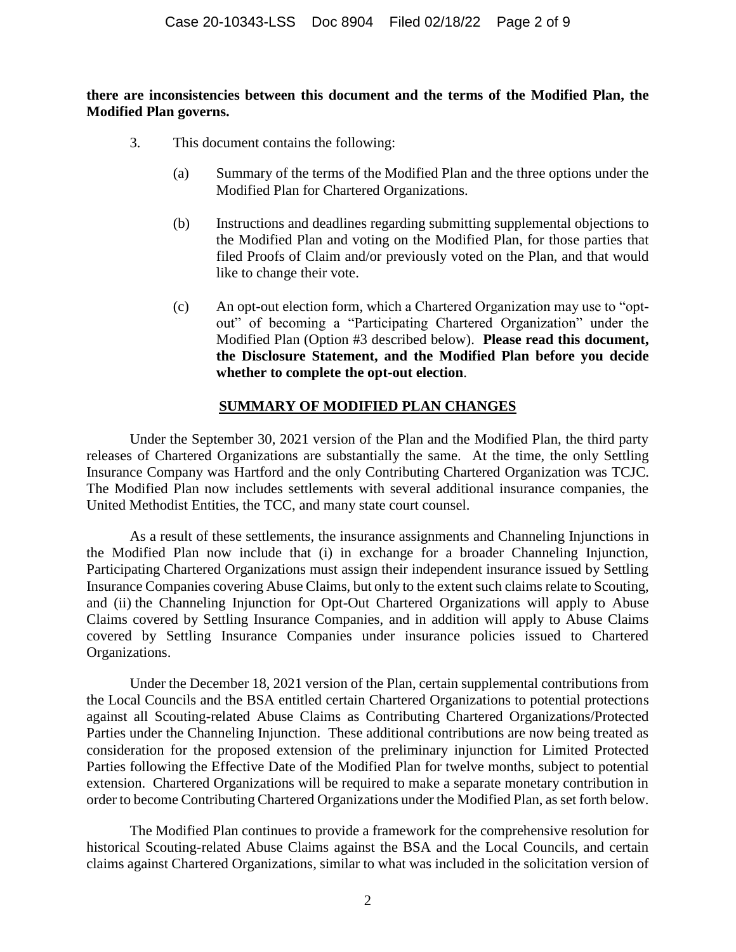### **there are inconsistencies between this document and the terms of the Modified Plan, the Modified Plan governs.**

- 3. This document contains the following:
	- (a) Summary of the terms of the Modified Plan and the three options under the Modified Plan for Chartered Organizations.
	- (b) Instructions and deadlines regarding submitting supplemental objections to the Modified Plan and voting on the Modified Plan, for those parties that filed Proofs of Claim and/or previously voted on the Plan, and that would like to change their vote.
	- (c) An opt-out election form, which a Chartered Organization may use to "optout" of becoming a "Participating Chartered Organization" under the Modified Plan (Option #3 described below). **Please read this document, the Disclosure Statement, and the Modified Plan before you decide whether to complete the opt-out election**.

## **SUMMARY OF MODIFIED PLAN CHANGES**

Under the September 30, 2021 version of the Plan and the Modified Plan, the third party releases of Chartered Organizations are substantially the same. At the time, the only Settling Insurance Company was Hartford and the only Contributing Chartered Organization was TCJC. The Modified Plan now includes settlements with several additional insurance companies, the United Methodist Entities, the TCC, and many state court counsel.

As a result of these settlements, the insurance assignments and Channeling Injunctions in the Modified Plan now include that (i) in exchange for a broader Channeling Injunction, Participating Chartered Organizations must assign their independent insurance issued by Settling Insurance Companies covering Abuse Claims, but only to the extent such claims relate to Scouting, and (ii) the Channeling Injunction for Opt-Out Chartered Organizations will apply to Abuse Claims covered by Settling Insurance Companies, and in addition will apply to Abuse Claims covered by Settling Insurance Companies under insurance policies issued to Chartered Organizations.

Under the December 18, 2021 version of the Plan, certain supplemental contributions from the Local Councils and the BSA entitled certain Chartered Organizations to potential protections against all Scouting-related Abuse Claims as Contributing Chartered Organizations/Protected Parties under the Channeling Injunction. These additional contributions are now being treated as consideration for the proposed extension of the preliminary injunction for Limited Protected Parties following the Effective Date of the Modified Plan for twelve months, subject to potential extension. Chartered Organizations will be required to make a separate monetary contribution in order to become Contributing Chartered Organizations under the Modified Plan, as set forth below.

The Modified Plan continues to provide a framework for the comprehensive resolution for historical Scouting-related Abuse Claims against the BSA and the Local Councils, and certain claims against Chartered Organizations, similar to what was included in the solicitation version of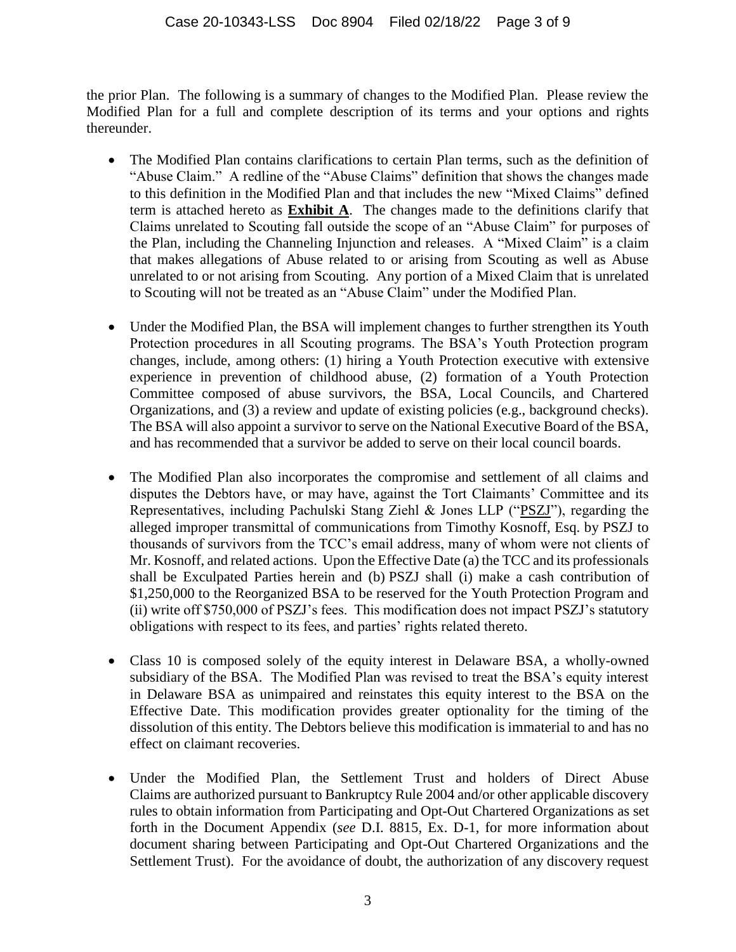the prior Plan. The following is a summary of changes to the Modified Plan. Please review the Modified Plan for a full and complete description of its terms and your options and rights thereunder.

- The Modified Plan contains clarifications to certain Plan terms, such as the definition of "Abuse Claim." A redline of the "Abuse Claims" definition that shows the changes made to this definition in the Modified Plan and that includes the new "Mixed Claims" defined term is attached hereto as **Exhibit A**. The changes made to the definitions clarify that Claims unrelated to Scouting fall outside the scope of an "Abuse Claim" for purposes of the Plan, including the Channeling Injunction and releases. A "Mixed Claim" is a claim that makes allegations of Abuse related to or arising from Scouting as well as Abuse unrelated to or not arising from Scouting. Any portion of a Mixed Claim that is unrelated to Scouting will not be treated as an "Abuse Claim" under the Modified Plan.
- Under the Modified Plan, the BSA will implement changes to further strengthen its Youth Protection procedures in all Scouting programs. The BSA's Youth Protection program changes, include, among others: (1) hiring a Youth Protection executive with extensive experience in prevention of childhood abuse, (2) formation of a Youth Protection Committee composed of abuse survivors, the BSA, Local Councils, and Chartered Organizations, and (3) a review and update of existing policies (e.g., background checks). The BSA will also appoint a survivor to serve on the National Executive Board of the BSA, and has recommended that a survivor be added to serve on their local council boards.
- The Modified Plan also incorporates the compromise and settlement of all claims and disputes the Debtors have, or may have, against the Tort Claimants' Committee and its Representatives, including Pachulski Stang Ziehl & Jones LLP ("PSZJ"), regarding the alleged improper transmittal of communications from Timothy Kosnoff, Esq. by PSZJ to thousands of survivors from the TCC's email address, many of whom were not clients of Mr. Kosnoff, and related actions. Upon the Effective Date (a) the TCC and its professionals shall be Exculpated Parties herein and (b) PSZJ shall (i) make a cash contribution of \$1,250,000 to the Reorganized BSA to be reserved for the Youth Protection Program and (ii) write off \$750,000 of PSZJ's fees. This modification does not impact PSZJ's statutory obligations with respect to its fees, and parties' rights related thereto.
- Class 10 is composed solely of the equity interest in Delaware BSA, a wholly-owned subsidiary of the BSA. The Modified Plan was revised to treat the BSA's equity interest in Delaware BSA as unimpaired and reinstates this equity interest to the BSA on the Effective Date. This modification provides greater optionality for the timing of the dissolution of this entity. The Debtors believe this modification is immaterial to and has no effect on claimant recoveries.
- Under the Modified Plan, the Settlement Trust and holders of Direct Abuse Claims are authorized pursuant to Bankruptcy Rule 2004 and/or other applicable discovery rules to obtain information from Participating and Opt-Out Chartered Organizations as set forth in the Document Appendix (*see* D.I. 8815, Ex. D-1, for more information about document sharing between Participating and Opt-Out Chartered Organizations and the Settlement Trust). For the avoidance of doubt, the authorization of any discovery request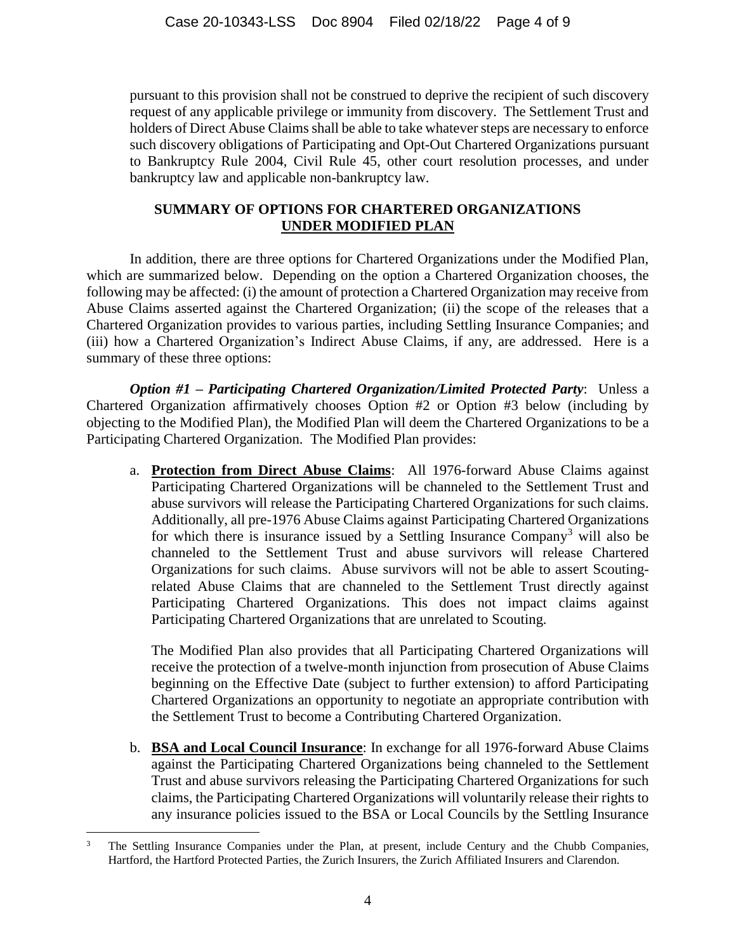pursuant to this provision shall not be construed to deprive the recipient of such discovery request of any applicable privilege or immunity from discovery. The Settlement Trust and holders of Direct Abuse Claims shall be able to take whatever steps are necessary to enforce such discovery obligations of Participating and Opt-Out Chartered Organizations pursuant to Bankruptcy Rule 2004, Civil Rule 45, other court resolution processes, and under bankruptcy law and applicable non-bankruptcy law.

## **SUMMARY OF OPTIONS FOR CHARTERED ORGANIZATIONS UNDER MODIFIED PLAN**

In addition, there are three options for Chartered Organizations under the Modified Plan, which are summarized below. Depending on the option a Chartered Organization chooses, the following may be affected: (i) the amount of protection a Chartered Organization may receive from Abuse Claims asserted against the Chartered Organization; (ii) the scope of the releases that a Chartered Organization provides to various parties, including Settling Insurance Companies; and (iii) how a Chartered Organization's Indirect Abuse Claims, if any, are addressed. Here is a summary of these three options:

*Option #1 – Participating Chartered Organization/Limited Protected Party*: Unless a Chartered Organization affirmatively chooses Option #2 or Option #3 below (including by objecting to the Modified Plan), the Modified Plan will deem the Chartered Organizations to be a Participating Chartered Organization. The Modified Plan provides:

a. **Protection from Direct Abuse Claims**: All 1976-forward Abuse Claims against Participating Chartered Organizations will be channeled to the Settlement Trust and abuse survivors will release the Participating Chartered Organizations for such claims. Additionally, all pre-1976 Abuse Claims against Participating Chartered Organizations for which there is insurance issued by a Settling Insurance Company<sup>3</sup> will also be channeled to the Settlement Trust and abuse survivors will release Chartered Organizations for such claims. Abuse survivors will not be able to assert Scoutingrelated Abuse Claims that are channeled to the Settlement Trust directly against Participating Chartered Organizations. This does not impact claims against Participating Chartered Organizations that are unrelated to Scouting.

The Modified Plan also provides that all Participating Chartered Organizations will receive the protection of a twelve-month injunction from prosecution of Abuse Claims beginning on the Effective Date (subject to further extension) to afford Participating Chartered Organizations an opportunity to negotiate an appropriate contribution with the Settlement Trust to become a Contributing Chartered Organization.

b. **BSA and Local Council Insurance**: In exchange for all 1976-forward Abuse Claims against the Participating Chartered Organizations being channeled to the Settlement Trust and abuse survivors releasing the Participating Chartered Organizations for such claims, the Participating Chartered Organizations will voluntarily release their rights to any insurance policies issued to the BSA or Local Councils by the Settling Insurance

 $\overline{a}$ 

The Settling Insurance Companies under the Plan, at present, include Century and the Chubb Companies, Hartford, the Hartford Protected Parties, the Zurich Insurers, the Zurich Affiliated Insurers and Clarendon.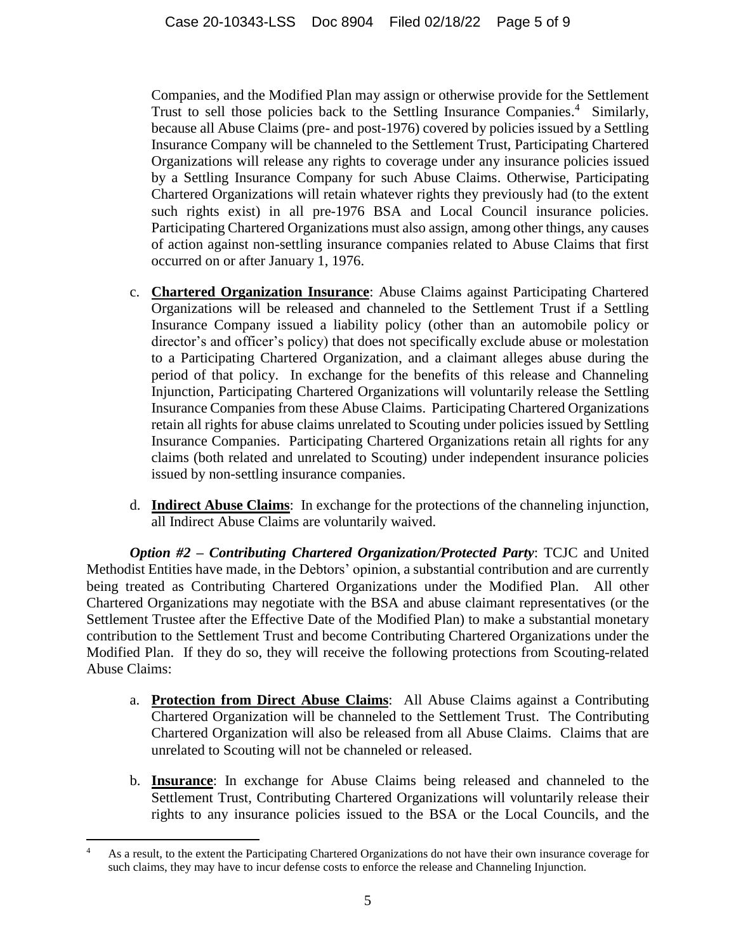Companies, and the Modified Plan may assign or otherwise provide for the Settlement Trust to sell those policies back to the Settling Insurance Companies.<sup>4</sup> Similarly, because all Abuse Claims (pre- and post-1976) covered by policies issued by a Settling Insurance Company will be channeled to the Settlement Trust, Participating Chartered Organizations will release any rights to coverage under any insurance policies issued by a Settling Insurance Company for such Abuse Claims. Otherwise, Participating Chartered Organizations will retain whatever rights they previously had (to the extent such rights exist) in all pre-1976 BSA and Local Council insurance policies. Participating Chartered Organizations must also assign, among other things, any causes of action against non-settling insurance companies related to Abuse Claims that first occurred on or after January 1, 1976.

- c. **Chartered Organization Insurance**: Abuse Claims against Participating Chartered Organizations will be released and channeled to the Settlement Trust if a Settling Insurance Company issued a liability policy (other than an automobile policy or director's and officer's policy) that does not specifically exclude abuse or molestation to a Participating Chartered Organization, and a claimant alleges abuse during the period of that policy. In exchange for the benefits of this release and Channeling Injunction, Participating Chartered Organizations will voluntarily release the Settling Insurance Companies from these Abuse Claims. Participating Chartered Organizations retain all rights for abuse claims unrelated to Scouting under policies issued by Settling Insurance Companies. Participating Chartered Organizations retain all rights for any claims (both related and unrelated to Scouting) under independent insurance policies issued by non-settling insurance companies.
- d. **Indirect Abuse Claims**: In exchange for the protections of the channeling injunction, all Indirect Abuse Claims are voluntarily waived.

*Option #2 – Contributing Chartered Organization/Protected Party*: TCJC and United Methodist Entities have made, in the Debtors' opinion, a substantial contribution and are currently being treated as Contributing Chartered Organizations under the Modified Plan. All other Chartered Organizations may negotiate with the BSA and abuse claimant representatives (or the Settlement Trustee after the Effective Date of the Modified Plan) to make a substantial monetary contribution to the Settlement Trust and become Contributing Chartered Organizations under the Modified Plan. If they do so, they will receive the following protections from Scouting-related Abuse Claims:

- a. **Protection from Direct Abuse Claims**: All Abuse Claims against a Contributing Chartered Organization will be channeled to the Settlement Trust. The Contributing Chartered Organization will also be released from all Abuse Claims. Claims that are unrelated to Scouting will not be channeled or released.
- b. **Insurance**: In exchange for Abuse Claims being released and channeled to the Settlement Trust, Contributing Chartered Organizations will voluntarily release their rights to any insurance policies issued to the BSA or the Local Councils, and the

 $\overline{a}$ <sup>4</sup> As a result, to the extent the Participating Chartered Organizations do not have their own insurance coverage for such claims, they may have to incur defense costs to enforce the release and Channeling Injunction.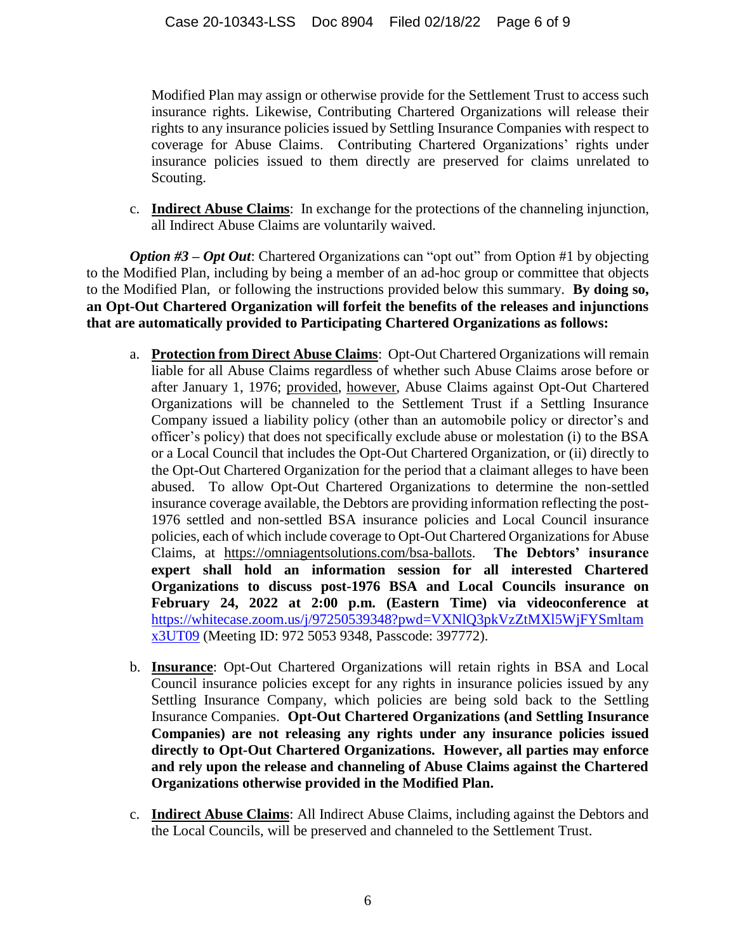Modified Plan may assign or otherwise provide for the Settlement Trust to access such insurance rights. Likewise, Contributing Chartered Organizations will release their rights to any insurance policies issued by Settling Insurance Companies with respect to coverage for Abuse Claims. Contributing Chartered Organizations' rights under insurance policies issued to them directly are preserved for claims unrelated to Scouting.

c. **Indirect Abuse Claims**: In exchange for the protections of the channeling injunction, all Indirect Abuse Claims are voluntarily waived.

*Option #3* – *Opt Out*: Chartered Organizations can "opt out" from Option #1 by objecting to the Modified Plan, including by being a member of an ad-hoc group or committee that objects to the Modified Plan, or following the instructions provided below this summary. **By doing so, an Opt-Out Chartered Organization will forfeit the benefits of the releases and injunctions that are automatically provided to Participating Chartered Organizations as follows:**

- a. **Protection from Direct Abuse Claims**: Opt-Out Chartered Organizations will remain liable for all Abuse Claims regardless of whether such Abuse Claims arose before or after January 1, 1976; provided, however, Abuse Claims against Opt-Out Chartered Organizations will be channeled to the Settlement Trust if a Settling Insurance Company issued a liability policy (other than an automobile policy or director's and officer's policy) that does not specifically exclude abuse or molestation (i) to the BSA or a Local Council that includes the Opt-Out Chartered Organization, or (ii) directly to the Opt-Out Chartered Organization for the period that a claimant alleges to have been abused. To allow Opt-Out Chartered Organizations to determine the non-settled insurance coverage available, the Debtors are providing information reflecting the post-1976 settled and non-settled BSA insurance policies and Local Council insurance policies, each of which include coverage to Opt-Out Chartered Organizations for Abuse Claims, at https://omniagentsolutions.com/bsa-ballots. **The Debtors' insurance expert shall hold an information session for all interested Chartered Organizations to discuss post-1976 BSA and Local Councils insurance on February 24, 2022 at 2:00 p.m. (Eastern Time) via videoconference at** [https://whitecase.zoom.us/j/97250539348?pwd=VXNlQ3pkVzZtMXl5WjFYSmltam](https://whitecase.zoom.us/j/97250539348?pwd=VXNlQ3pkVzZtMXl5WjFYSmltamx3UT09) [x3UT09](https://whitecase.zoom.us/j/97250539348?pwd=VXNlQ3pkVzZtMXl5WjFYSmltamx3UT09) (Meeting ID: 972 5053 9348, Passcode: 397772).
- b. **Insurance**: Opt-Out Chartered Organizations will retain rights in BSA and Local Council insurance policies except for any rights in insurance policies issued by any Settling Insurance Company, which policies are being sold back to the Settling Insurance Companies. **Opt-Out Chartered Organizations (and Settling Insurance Companies) are not releasing any rights under any insurance policies issued directly to Opt-Out Chartered Organizations. However, all parties may enforce and rely upon the release and channeling of Abuse Claims against the Chartered Organizations otherwise provided in the Modified Plan.**
- c. **Indirect Abuse Claims**: All Indirect Abuse Claims, including against the Debtors and the Local Councils, will be preserved and channeled to the Settlement Trust.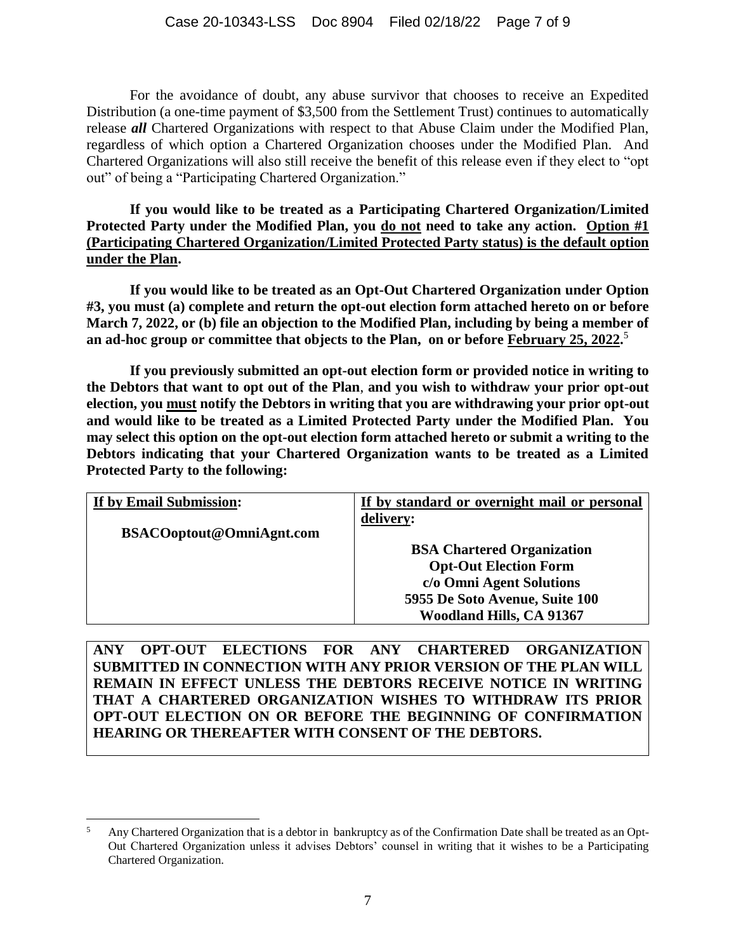For the avoidance of doubt, any abuse survivor that chooses to receive an Expedited Distribution (a one-time payment of \$3,500 from the Settlement Trust) continues to automatically release *all* Chartered Organizations with respect to that Abuse Claim under the Modified Plan, regardless of which option a Chartered Organization chooses under the Modified Plan. And Chartered Organizations will also still receive the benefit of this release even if they elect to "opt out" of being a "Participating Chartered Organization."

**If you would like to be treated as a Participating Chartered Organization/Limited Protected Party under the Modified Plan, you do not need to take any action. Option #1 (Participating Chartered Organization/Limited Protected Party status) is the default option under the Plan.**

**If you would like to be treated as an Opt-Out Chartered Organization under Option #3, you must (a) complete and return the opt-out election form attached hereto on or before March 7, 2022, or (b) file an objection to the Modified Plan, including by being a member of an ad-hoc group or committee that objects to the Plan, on or before February 25, 2022.** 5

**If you previously submitted an opt-out election form or provided notice in writing to the Debtors that want to opt out of the Plan**, **and you wish to withdraw your prior opt-out election, you must notify the Debtors in writing that you are withdrawing your prior opt-out and would like to be treated as a Limited Protected Party under the Modified Plan. You may select this option on the opt-out election form attached hereto or submit a writing to the Debtors indicating that your Chartered Organization wants to be treated as a Limited Protected Party to the following:**

| If by Email Submission:          | If by standard or overnight mail or personal |
|----------------------------------|----------------------------------------------|
|                                  | delivery:                                    |
| <b>BSACO</b> optout@OmniAgnt.com |                                              |
|                                  | <b>BSA Chartered Organization</b>            |
|                                  | <b>Opt-Out Election Form</b>                 |
|                                  | c/o Omni Agent Solutions                     |
|                                  | 5955 De Soto Avenue, Suite 100               |
|                                  | <b>Woodland Hills, CA 91367</b>              |

**ANY OPT**-**OUT ELECTIONS FOR ANY CHARTERED ORGANIZATION SUBMITTED IN CONNECTION WITH ANY PRIOR VERSION OF THE PLAN WILL REMAIN IN EFFECT UNLESS THE DEBTORS RECEIVE NOTICE IN WRITING THAT A CHARTERED ORGANIZATION WISHES TO WITHDRAW ITS PRIOR OPT-OUT ELECTION ON OR BEFORE THE BEGINNING OF CONFIRMATION HEARING OR THEREAFTER WITH CONSENT OF THE DEBTORS.**

 $\overline{a}$ 

<sup>&</sup>lt;sup>5</sup> Any Chartered Organization that is a debtor in bankruptcy as of the Confirmation Date shall be treated as an Opt-Out Chartered Organization unless it advises Debtors' counsel in writing that it wishes to be a Participating Chartered Organization.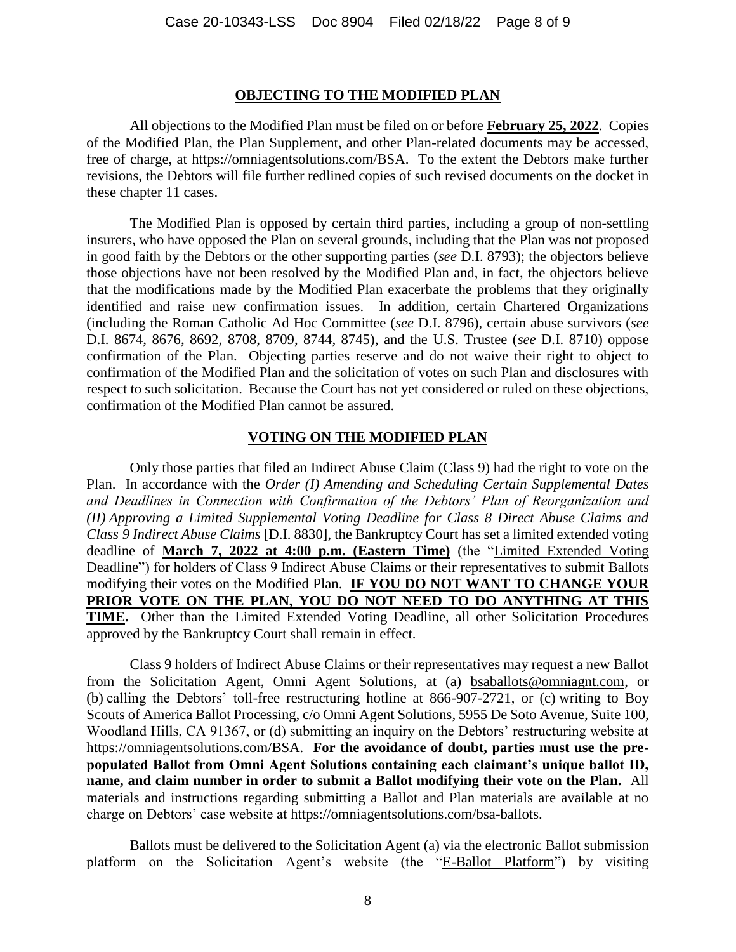#### **OBJECTING TO THE MODIFIED PLAN**

All objections to the Modified Plan must be filed on or before **February 25, 2022**. Copies of the Modified Plan, the Plan Supplement, and other Plan-related documents may be accessed, free of charge, at https://omniagentsolutions.com/BSA. To the extent the Debtors make further revisions, the Debtors will file further redlined copies of such revised documents on the docket in these chapter 11 cases.

The Modified Plan is opposed by certain third parties, including a group of non-settling insurers, who have opposed the Plan on several grounds, including that the Plan was not proposed in good faith by the Debtors or the other supporting parties (*see* D.I. 8793); the objectors believe those objections have not been resolved by the Modified Plan and, in fact, the objectors believe that the modifications made by the Modified Plan exacerbate the problems that they originally identified and raise new confirmation issues. In addition, certain Chartered Organizations (including the Roman Catholic Ad Hoc Committee (*see* D.I. 8796), certain abuse survivors (*see*  D.I. 8674, 8676, 8692, 8708, 8709, 8744, 8745), and the U.S. Trustee (*see* D.I. 8710) oppose confirmation of the Plan. Objecting parties reserve and do not waive their right to object to confirmation of the Modified Plan and the solicitation of votes on such Plan and disclosures with respect to such solicitation. Because the Court has not yet considered or ruled on these objections, confirmation of the Modified Plan cannot be assured.

#### **VOTING ON THE MODIFIED PLAN**

Only those parties that filed an Indirect Abuse Claim (Class 9) had the right to vote on the Plan. In accordance with the *Order (I) Amending and Scheduling Certain Supplemental Dates and Deadlines in Connection with Confirmation of the Debtors' Plan of Reorganization and (II) Approving a Limited Supplemental Voting Deadline for Class 8 Direct Abuse Claims and Class 9 Indirect Abuse Claims* [D.I. 8830], the Bankruptcy Court has set a limited extended voting deadline of **March 7, 2022 at 4:00 p.m. (Eastern Time)** (the "Limited Extended Voting Deadline") for holders of Class 9 Indirect Abuse Claims or their representatives to submit Ballots modifying their votes on the Modified Plan. **IF YOU DO NOT WANT TO CHANGE YOUR PRIOR VOTE ON THE PLAN, YOU DO NOT NEED TO DO ANYTHING AT THIS TIME.** Other than the Limited Extended Voting Deadline, all other Solicitation Procedures approved by the Bankruptcy Court shall remain in effect.

Class 9 holders of Indirect Abuse Claims or their representatives may request a new Ballot from the Solicitation Agent, Omni Agent Solutions, at (a) bsaballots@omniagnt.com, or (b) calling the Debtors' toll-free restructuring hotline at 866-907-2721, or (c) writing to Boy Scouts of America Ballot Processing, c/o Omni Agent Solutions, 5955 De Soto Avenue, Suite 100, Woodland Hills, CA 91367, or (d) submitting an inquiry on the Debtors' restructuring website at https://omniagentsolutions.com/BSA. **For the avoidance of doubt, parties must use the prepopulated Ballot from Omni Agent Solutions containing each claimant's unique ballot ID, name, and claim number in order to submit a Ballot modifying their vote on the Plan.** All materials and instructions regarding submitting a Ballot and Plan materials are available at no charge on Debtors' case website at https://omniagentsolutions.com/bsa-ballots.

Ballots must be delivered to the Solicitation Agent (a) via the electronic Ballot submission platform on the Solicitation Agent's website (the "E-Ballot Platform") by visiting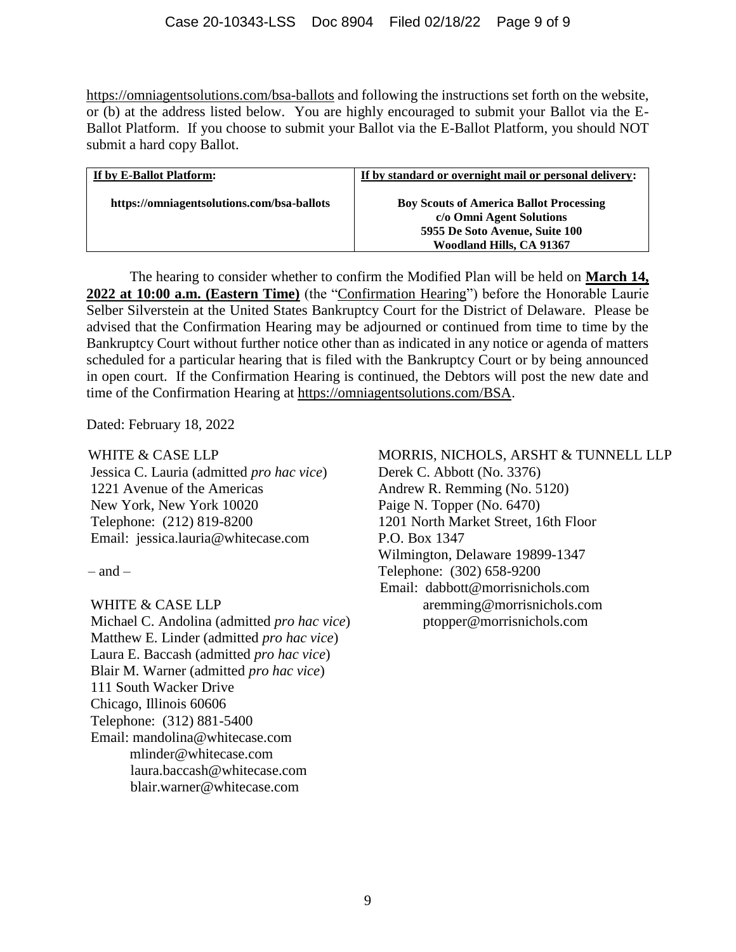https://omniagentsolutions.com/bsa-ballots and following the instructions set forth on the website, or (b) at the address listed below. You are highly encouraged to submit your Ballot via the E-Ballot Platform. If you choose to submit your Ballot via the E-Ballot Platform, you should NOT submit a hard copy Ballot.

| If by E-Ballot Platform:                   | If by standard or overnight mail or personal delivery: |
|--------------------------------------------|--------------------------------------------------------|
| https://omniagentsolutions.com/bsa-ballots | <b>Boy Scouts of America Ballot Processing</b>         |
|                                            | c/o Omni Agent Solutions                               |
|                                            | 5955 De Soto Avenue, Suite 100                         |
|                                            | Woodland Hills, CA 91367                               |

The hearing to consider whether to confirm the Modified Plan will be held on **March 14, 2022 at 10:00 a.m. (Eastern Time)** (the "Confirmation Hearing") before the Honorable Laurie Selber Silverstein at the United States Bankruptcy Court for the District of Delaware. Please be advised that the Confirmation Hearing may be adjourned or continued from time to time by the Bankruptcy Court without further notice other than as indicated in any notice or agenda of matters scheduled for a particular hearing that is filed with the Bankruptcy Court or by being announced in open court. If the Confirmation Hearing is continued, the Debtors will post the new date and time of the Confirmation Hearing at https://omniagentsolutions.com/BSA.

Dated: February 18, 2022

#### WHITE & CASE LLP

Jessica C. Lauria (admitted *pro hac vice*) 1221 Avenue of the Americas New York, New York 10020 Telephone: (212) 819-8200 Email: jessica.lauria@whitecase.com

 $=$  and  $=$ 

#### WHITE & CASE LLP

Michael C. Andolina (admitted *pro hac vice*) Matthew E. Linder (admitted *pro hac vice*) Laura E. Baccash (admitted *pro hac vice*) Blair M. Warner (admitted *pro hac vice*) 111 South Wacker Drive Chicago, Illinois 60606 Telephone: (312) 881-5400 Email: mandolina@whitecase.com mlinder@whitecase.com laura.baccash@whitecase.com blair.warner@whitecase.com

## MORRIS, NICHOLS, ARSHT & TUNNELL LLP

Derek C. Abbott (No. 3376) Andrew R. Remming (No. 5120) Paige N. Topper (No. 6470) 1201 North Market Street, 16th Floor P.O. Box 1347 Wilmington, Delaware 19899-1347 Telephone: (302) 658-9200 Email: dabbott@morrisnichols.com aremming@morrisnichols.com ptopper@morrisnichols.com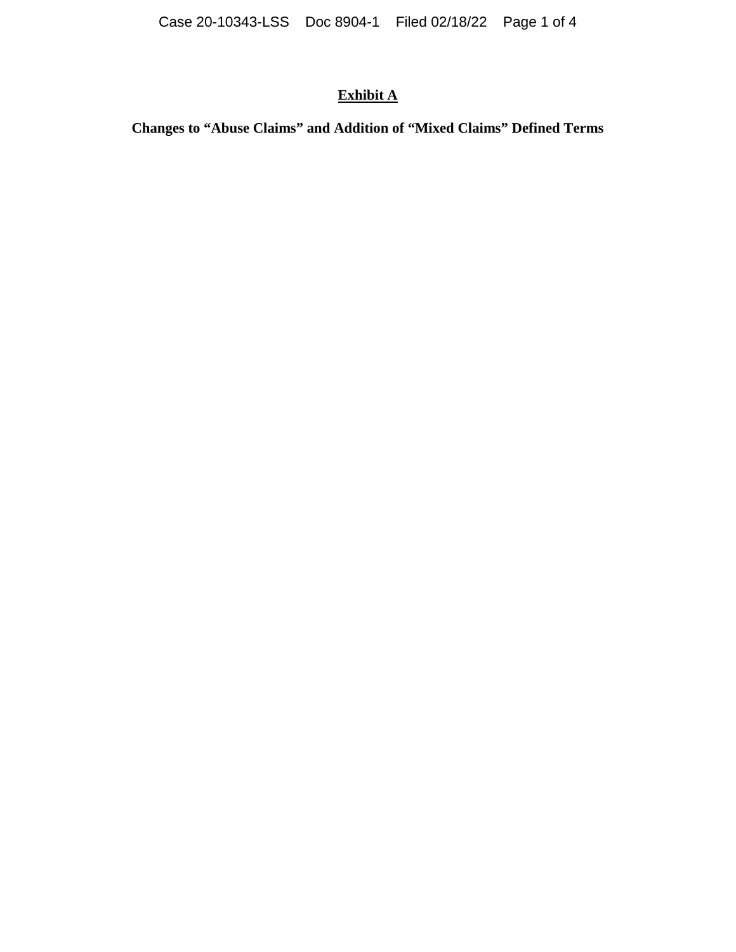# **Exhibit A**

**Changes to "Abuse Claims" and Addition of "Mixed Claims" Defined Terms**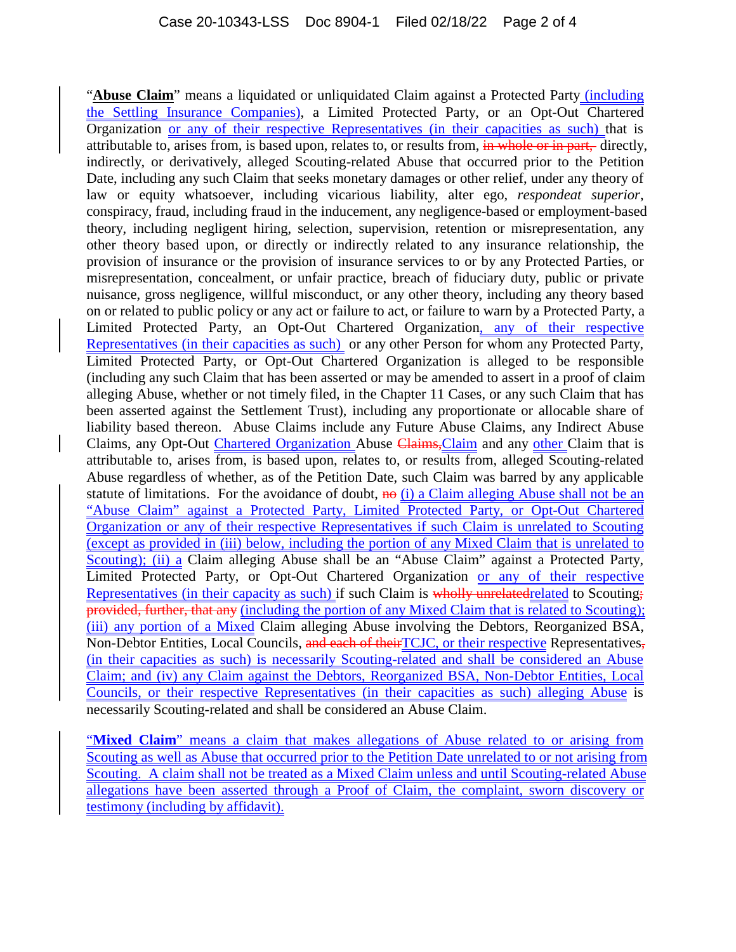"**Abuse Claim**" means a liquidated or unliquidated Claim against a Protected Party (including the Settling Insurance Companies), a Limited Protected Party, or an Opt-Out Chartered Organization or any of their respective Representatives (in their capacities as such) that is attributable to, arises from, is based upon, relates to, or results from, in whole or in part, directly, indirectly, or derivatively, alleged Scouting-related Abuse that occurred prior to the Petition Date, including any such Claim that seeks monetary damages or other relief, under any theory of law or equity whatsoever, including vicarious liability, alter ego, *respondeat superior*, conspiracy, fraud, including fraud in the inducement, any negligence-based or employment-based theory, including negligent hiring, selection, supervision, retention or misrepresentation, any other theory based upon, or directly or indirectly related to any insurance relationship, the provision of insurance or the provision of insurance services to or by any Protected Parties, or misrepresentation, concealment, or unfair practice, breach of fiduciary duty, public or private nuisance, gross negligence, willful misconduct, or any other theory, including any theory based on or related to public policy or any act or failure to act, or failure to warn by a Protected Party, a Limited Protected Party, an Opt-Out Chartered Organization, any of their respective Representatives (in their capacities as such) or any other Person for whom any Protected Party, Limited Protected Party, or Opt-Out Chartered Organization is alleged to be responsible (including any such Claim that has been asserted or may be amended to assert in a proof of claim alleging Abuse, whether or not timely filed, in the Chapter 11 Cases, or any such Claim that has been asserted against the Settlement Trust), including any proportionate or allocable share of liability based thereon. Abuse Claims include any Future Abuse Claims, any Indirect Abuse Claims, any Opt-Out Chartered Organization Abuse Claims,Claim and any other Claim that is attributable to, arises from, is based upon, relates to, or results from, alleged Scouting-related Abuse regardless of whether, as of the Petition Date, such Claim was barred by any applicable statute of limitations. For the avoidance of doubt,  $\theta$  (i) a Claim alleging Abuse shall not be an "Abuse Claim" against a Protected Party, Limited Protected Party, or Opt-Out Chartered Organization or any of their respective Representatives if such Claim is unrelated to Scouting (except as provided in (iii) below, including the portion of any Mixed Claim that is unrelated to Scouting); (ii) a Claim alleging Abuse shall be an "Abuse Claim" against a Protected Party, Limited Protected Party, or Opt-Out Chartered Organization or any of their respective Representatives (in their capacity as such) if such Claim is wholly unrelatedrelated to Scouting; provided, further, that any (including the portion of any Mixed Claim that is related to Scouting); (iii) any portion of a Mixed Claim alleging Abuse involving the Debtors, Reorganized BSA, Non-Debtor Entities, Local Councils, and each of their TCJC, or their respective Representatives, (in their capacities as such) is necessarily Scouting-related and shall be considered an Abuse Claim; and (iv) any Claim against the Debtors, Reorganized BSA, Non-Debtor Entities, Local Councils, or their respective Representatives (in their capacities as such) alleging Abuse is necessarily Scouting-related and shall be considered an Abuse Claim.

"**Mixed Claim**" means a claim that makes allegations of Abuse related to or arising from Scouting as well as Abuse that occurred prior to the Petition Date unrelated to or not arising from Scouting. A claim shall not be treated as a Mixed Claim unless and until Scouting-related Abuse allegations have been asserted through a Proof of Claim, the complaint, sworn discovery or testimony (including by affidavit).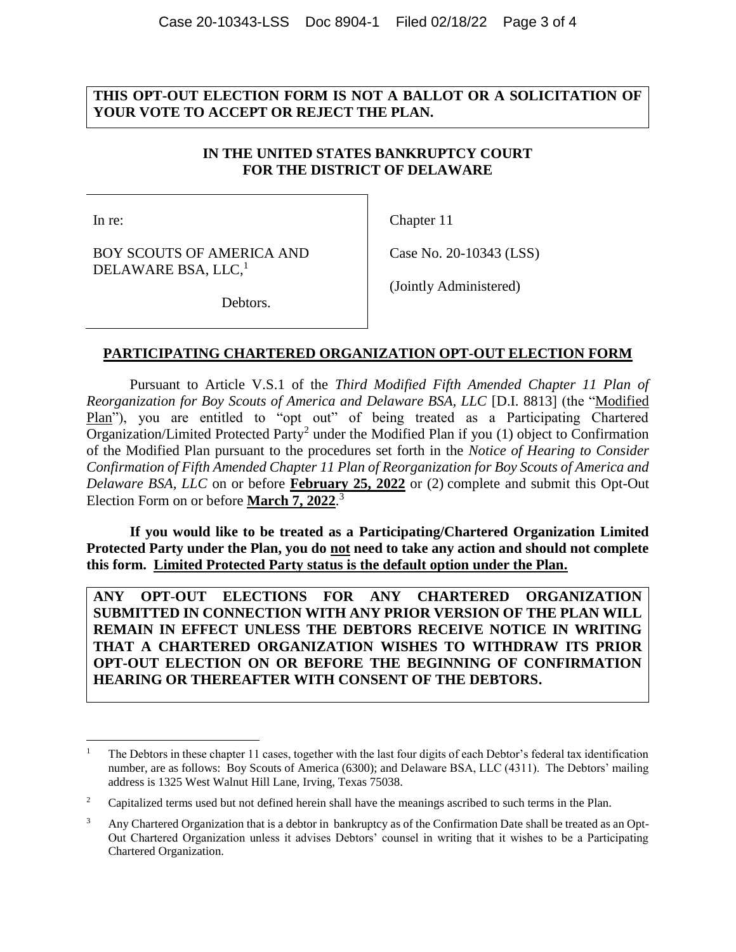### **THIS OPT-OUT ELECTION FORM IS NOT A BALLOT OR A SOLICITATION OF YOUR VOTE TO ACCEPT OR REJECT THE PLAN.**

## **IN THE UNITED STATES BANKRUPTCY COURT FOR THE DISTRICT OF DELAWARE**

In re:

 $\overline{a}$ 

BOY SCOUTS OF AMERICA AND DELAWARE BSA, LLC, $^1$ 

Chapter 11

Case No. 20-10343 (LSS)

Debtors.

(Jointly Administered)

#### **PARTICIPATING CHARTERED ORGANIZATION OPT-OUT ELECTION FORM**

Pursuant to Article V.S.1 of the *Third Modified Fifth Amended Chapter 11 Plan of Reorganization for Boy Scouts of America and Delaware BSA, LLC* [D.I. 8813] (the "Modified Plan"), you are entitled to "opt out" of being treated as a Participating Chartered Organization/Limited Protected Party<sup>2</sup> under the Modified Plan if you (1) object to Confirmation of the Modified Plan pursuant to the procedures set forth in the *Notice of Hearing to Consider Confirmation of Fifth Amended Chapter 11 Plan of Reorganization for Boy Scouts of America and Delaware BSA, LLC* on or before **February 25, 2022** or (2) complete and submit this Opt-Out Election Form on or before **March 7, 2022**. 3

**If you would like to be treated as a Participating/Chartered Organization Limited Protected Party under the Plan, you do not need to take any action and should not complete this form. Limited Protected Party status is the default option under the Plan.**

**ANY OPT**-**OUT ELECTIONS FOR ANY CHARTERED ORGANIZATION SUBMITTED IN CONNECTION WITH ANY PRIOR VERSION OF THE PLAN WILL REMAIN IN EFFECT UNLESS THE DEBTORS RECEIVE NOTICE IN WRITING THAT A CHARTERED ORGANIZATION WISHES TO WITHDRAW ITS PRIOR OPT-OUT ELECTION ON OR BEFORE THE BEGINNING OF CONFIRMATION HEARING OR THEREAFTER WITH CONSENT OF THE DEBTORS.**

<sup>1</sup> The Debtors in these chapter 11 cases, together with the last four digits of each Debtor's federal tax identification number, are as follows: Boy Scouts of America (6300); and Delaware BSA, LLC (4311). The Debtors' mailing address is 1325 West Walnut Hill Lane, Irving, Texas 75038.

<sup>&</sup>lt;sup>2</sup> Capitalized terms used but not defined herein shall have the meanings ascribed to such terms in the Plan.

<sup>&</sup>lt;sup>3</sup> Any Chartered Organization that is a debtor in bankruptcy as of the Confirmation Date shall be treated as an Opt-Out Chartered Organization unless it advises Debtors' counsel in writing that it wishes to be a Participating Chartered Organization.